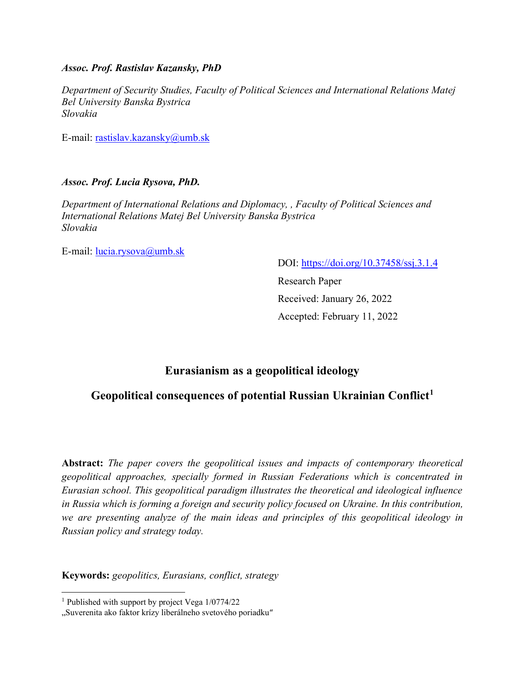# *Assoc. Prof. Rastislav Kazansky, PhD*

*Department of Security Studies, Faculty of Political Sciences and International Relations Matej Bel University Banska Bystrica Slovakia*

E-mail: [rastislav.kazansky@umb.sk](mailto:rastislav.kazansky@umb.sk)

# *Assoc. Prof. Lucia Rysova, PhD.*

*Department of International Relations and Diplomacy, , Faculty of Political Sciences and International Relations Matej Bel University Banska Bystrica Slovakia*

E-mail: [lucia.rysova@umb.sk](mailto:lucia.rysova@umb.sk)

DOI:<https://doi.org/10.37458/ssj.3.1.4>

Research Paper Received: January 26, 2022 Accepted: February 11, 2022

# **Eurasianism as a geopolitical ideology**

# **Geopolitical consequences of potential Russian Ukrainian Conflict<sup>1</sup>**

**Abstract:** *The paper covers the geopolitical issues and impacts of contemporary theoretical geopolitical approaches, specially formed in Russian Federations which is concentrated in Eurasian school. This geopolitical paradigm illustrates the theoretical and ideological influence in Russia which is forming a foreign and security policy focused on Ukraine. In this contribution, we are presenting analyze of the main ideas and principles of this geopolitical ideology in Russian policy and strategy today.*

**Keywords:** *geopolitics, Eurasians, conflict, strategy*

<sup>1</sup> Published with support by project Vega 1/0774/22

<sup>&</sup>quot;Suverenita ako faktor krízy liberálneho svetového poriadku"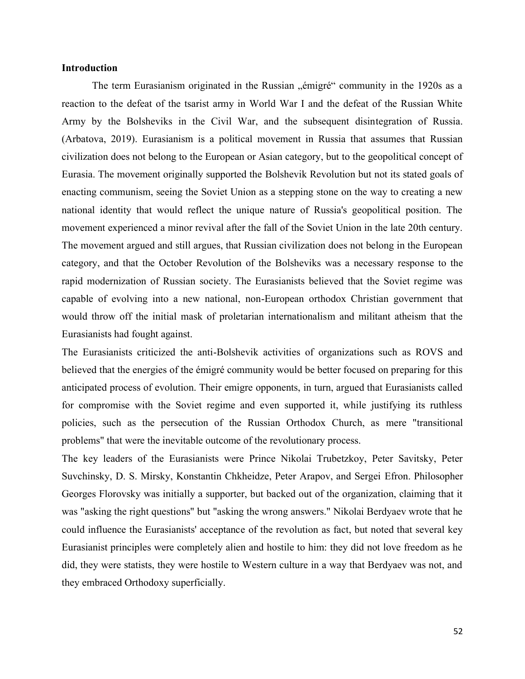## **Introduction**

The term Eurasianism originated in the Russian "émigré" community in the 1920s as a reaction to the defeat of the tsarist army in World War I and the defeat of the Russian White Army by the Bolsheviks in the Civil War, and the subsequent disintegration of Russia. (Arbatova, 2019). Eurasianism is a political movement in Russia that assumes that Russian civilization does not belong to the European or Asian category, but to the geopolitical concept of Eurasia. The movement originally supported the Bolshevik Revolution but not its stated goals of enacting communism, seeing the Soviet Union as a stepping stone on the way to creating a new national identity that would reflect the unique nature of Russia's geopolitical position. The movement experienced a minor revival after the fall of the Soviet Union in the late 20th century. The movement argued and still argues, that Russian civilization does not belong in the European category, and that the October Revolution of the Bolsheviks was a necessary response to the rapid modernization of Russian society. The Eurasianists believed that the Soviet regime was capable of evolving into a new national, non-European orthodox Christian government that would throw off the initial mask of proletarian internationalism and militant atheism that the Eurasianists had fought against.

The Eurasianists criticized the anti-Bolshevik activities of organizations such as ROVS and believed that the energies of the émigré community would be better focused on preparing for this anticipated process of evolution. Their emigre opponents, in turn, argued that Eurasianists called for compromise with the Soviet regime and even supported it, while justifying its ruthless policies, such as the persecution of the Russian Orthodox Church, as mere "transitional problems" that were the inevitable outcome of the revolutionary process.

The key leaders of the Eurasianists were Prince Nikolai Trubetzkoy, Peter Savitsky, Peter Suvchinsky, D. S. Mirsky, Konstantin Chkheidze, Peter Arapov, and Sergei Efron. Philosopher Georges Florovsky was initially a supporter, but backed out of the organization, claiming that it was "asking the right questions" but "asking the wrong answers." Nikolai Berdyaev wrote that he could influence the Eurasianists' acceptance of the revolution as fact, but noted that several key Eurasianist principles were completely alien and hostile to him: they did not love freedom as he did, they were statists, they were hostile to Western culture in a way that Berdyaev was not, and they embraced Orthodoxy superficially.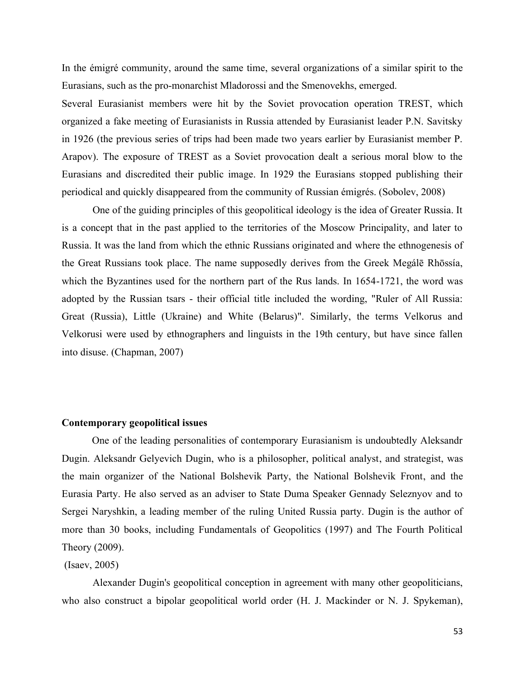In the émigré community, around the same time, several organizations of a similar spirit to the Eurasians, such as the pro-monarchist Mladorossi and the Smenovekhs, emerged.

Several Eurasianist members were hit by the Soviet provocation operation TREST, which organized a fake meeting of Eurasianists in Russia attended by Eurasianist leader P.N. Savitsky in 1926 (the previous series of trips had been made two years earlier by Eurasianist member P. Arapov). The exposure of TREST as a Soviet provocation dealt a serious moral blow to the Eurasians and discredited their public image. In 1929 the Eurasians stopped publishing their periodical and quickly disappeared from the community of Russian émigrés. (Sobolev, 2008)

One of the guiding principles of this geopolitical ideology is the idea of Greater Russia. It is a concept that in the past applied to the territories of the Moscow Principality, and later to Russia. It was the land from which the ethnic Russians originated and where the ethnogenesis of the Great Russians took place. The name supposedly derives from the Greek Megálē Rhōssía, which the Byzantines used for the northern part of the Rus lands. In 1654-1721, the word was adopted by the Russian tsars - their official title included the wording, "Ruler of All Russia: Great (Russia), Little (Ukraine) and White (Belarus)". Similarly, the terms Velkorus and Velkorusi were used by ethnographers and linguists in the 19th century, but have since fallen into disuse. (Chapman, 2007)

#### **Contemporary geopolitical issues**

One of the leading personalities of contemporary Eurasianism is undoubtedly Aleksandr Dugin. Aleksandr Gelyevich Dugin, who is a philosopher, political analyst, and strategist, was the main organizer of the National Bolshevik Party, the National Bolshevik Front, and the Eurasia Party. He also served as an adviser to State Duma Speaker Gennady Seleznyov and to Sergei Naryshkin, a leading member of the ruling United Russia party. Dugin is the author of more than 30 books, including Fundamentals of Geopolitics (1997) and The Fourth Political Theory (2009).

# (Isaev, 2005)

Alexander Dugin's geopolitical conception in agreement with many other geopoliticians, who also construct a bipolar geopolitical world order (H. J. Mackinder or N. J. Spykeman),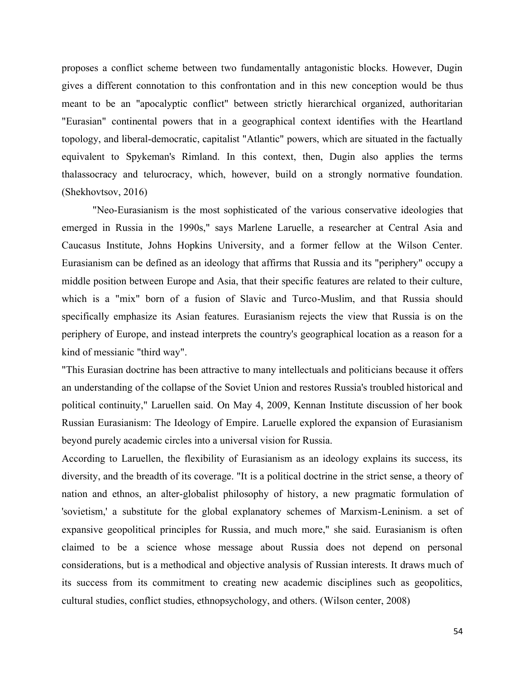proposes a conflict scheme between two fundamentally antagonistic blocks. However, Dugin gives a different connotation to this confrontation and in this new conception would be thus meant to be an "apocalyptic conflict" between strictly hierarchical organized, authoritarian "Eurasian" continental powers that in a geographical context identifies with the Heartland topology, and liberal-democratic, capitalist "Atlantic" powers, which are situated in the factually equivalent to Spykeman's Rimland. In this context, then, Dugin also applies the terms thalassocracy and telurocracy, which, however, build on a strongly normative foundation. (Shekhovtsov, 2016)

"Neo-Eurasianism is the most sophisticated of the various conservative ideologies that emerged in Russia in the 1990s," says Marlene Laruelle, a researcher at Central Asia and Caucasus Institute, Johns Hopkins University, and a former fellow at the Wilson Center. Eurasianism can be defined as an ideology that affirms that Russia and its "periphery" occupy a middle position between Europe and Asia, that their specific features are related to their culture, which is a "mix" born of a fusion of Slavic and Turco-Muslim, and that Russia should specifically emphasize its Asian features. Eurasianism rejects the view that Russia is on the periphery of Europe, and instead interprets the country's geographical location as a reason for a kind of messianic "third way".

"This Eurasian doctrine has been attractive to many intellectuals and politicians because it offers an understanding of the collapse of the Soviet Union and restores Russia's troubled historical and political continuity," Laruellen said. On May 4, 2009, Kennan Institute discussion of her book Russian Eurasianism: The Ideology of Empire. Laruelle explored the expansion of Eurasianism beyond purely academic circles into a universal vision for Russia.

According to Laruellen, the flexibility of Eurasianism as an ideology explains its success, its diversity, and the breadth of its coverage. "It is a political doctrine in the strict sense, a theory of nation and ethnos, an alter-globalist philosophy of history, a new pragmatic formulation of 'sovietism,' a substitute for the global explanatory schemes of Marxism-Leninism. a set of expansive geopolitical principles for Russia, and much more," she said. Eurasianism is often claimed to be a science whose message about Russia does not depend on personal considerations, but is a methodical and objective analysis of Russian interests. It draws much of its success from its commitment to creating new academic disciplines such as geopolitics, cultural studies, conflict studies, ethnopsychology, and others. (Wilson center, 2008)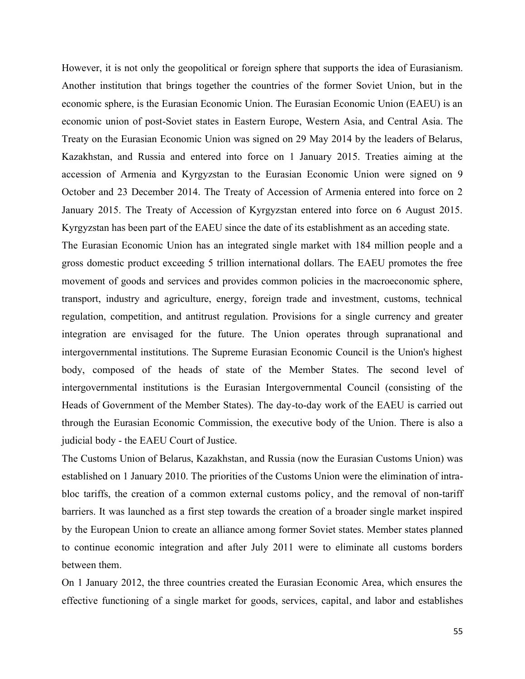However, it is not only the geopolitical or foreign sphere that supports the idea of Eurasianism. Another institution that brings together the countries of the former Soviet Union, but in the economic sphere, is the Eurasian Economic Union. The Eurasian Economic Union (EAEU) is an economic union of post-Soviet states in Eastern Europe, Western Asia, and Central Asia. The Treaty on the Eurasian Economic Union was signed on 29 May 2014 by the leaders of Belarus, Kazakhstan, and Russia and entered into force on 1 January 2015. Treaties aiming at the accession of Armenia and Kyrgyzstan to the Eurasian Economic Union were signed on 9 October and 23 December 2014. The Treaty of Accession of Armenia entered into force on 2 January 2015. The Treaty of Accession of Kyrgyzstan entered into force on 6 August 2015. Kyrgyzstan has been part of the EAEU since the date of its establishment as an acceding state.

The Eurasian Economic Union has an integrated single market with 184 million people and a gross domestic product exceeding 5 trillion international dollars. The EAEU promotes the free movement of goods and services and provides common policies in the macroeconomic sphere, transport, industry and agriculture, energy, foreign trade and investment, customs, technical regulation, competition, and antitrust regulation. Provisions for a single currency and greater integration are envisaged for the future. The Union operates through supranational and intergovernmental institutions. The Supreme Eurasian Economic Council is the Union's highest body, composed of the heads of state of the Member States. The second level of intergovernmental institutions is the Eurasian Intergovernmental Council (consisting of the Heads of Government of the Member States). The day-to-day work of the EAEU is carried out through the Eurasian Economic Commission, the executive body of the Union. There is also a judicial body - the EAEU Court of Justice.

The Customs Union of Belarus, Kazakhstan, and Russia (now the Eurasian Customs Union) was established on 1 January 2010. The priorities of the Customs Union were the elimination of intrabloc tariffs, the creation of a common external customs policy, and the removal of non-tariff barriers. It was launched as a first step towards the creation of a broader single market inspired by the European Union to create an alliance among former Soviet states. Member states planned to continue economic integration and after July 2011 were to eliminate all customs borders between them.

On 1 January 2012, the three countries created the Eurasian Economic Area, which ensures the effective functioning of a single market for goods, services, capital, and labor and establishes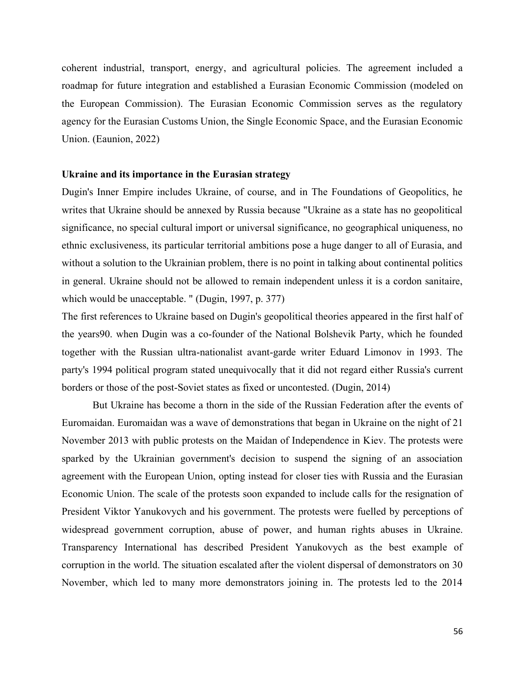coherent industrial, transport, energy, and agricultural policies. The agreement included a roadmap for future integration and established a Eurasian Economic Commission (modeled on the European Commission). The Eurasian Economic Commission serves as the regulatory agency for the Eurasian Customs Union, the Single Economic Space, and the Eurasian Economic Union. (Eaunion, 2022)

## **Ukraine and its importance in the Eurasian strategy**

Dugin's Inner Empire includes Ukraine, of course, and in The Foundations of Geopolitics, he writes that Ukraine should be annexed by Russia because "Ukraine as a state has no geopolitical significance, no special cultural import or universal significance, no geographical uniqueness, no ethnic exclusiveness, its particular territorial ambitions pose a huge danger to all of Eurasia, and without a solution to the Ukrainian problem, there is no point in talking about continental politics in general. Ukraine should not be allowed to remain independent unless it is a cordon sanitaire, which would be unacceptable. " (Dugin, 1997, p. 377)

The first references to Ukraine based on Dugin's geopolitical theories appeared in the first half of the years90. when Dugin was a co-founder of the National Bolshevik Party, which he founded together with the Russian ultra-nationalist avant-garde writer Eduard Limonov in 1993. The party's 1994 political program stated unequivocally that it did not regard either Russia's current borders or those of the post-Soviet states as fixed or uncontested. (Dugin, 2014)

But Ukraine has become a thorn in the side of the Russian Federation after the events of Euromaidan. Euromaidan was a wave of demonstrations that began in Ukraine on the night of 21 November 2013 with public protests on the Maidan of Independence in Kiev. The protests were sparked by the Ukrainian government's decision to suspend the signing of an association agreement with the European Union, opting instead for closer ties with Russia and the Eurasian Economic Union. The scale of the protests soon expanded to include calls for the resignation of President Viktor Yanukovych and his government. The protests were fuelled by perceptions of widespread government corruption, abuse of power, and human rights abuses in Ukraine. Transparency International has described President Yanukovych as the best example of corruption in the world. The situation escalated after the violent dispersal of demonstrators on 30 November, which led to many more demonstrators joining in. The protests led to the 2014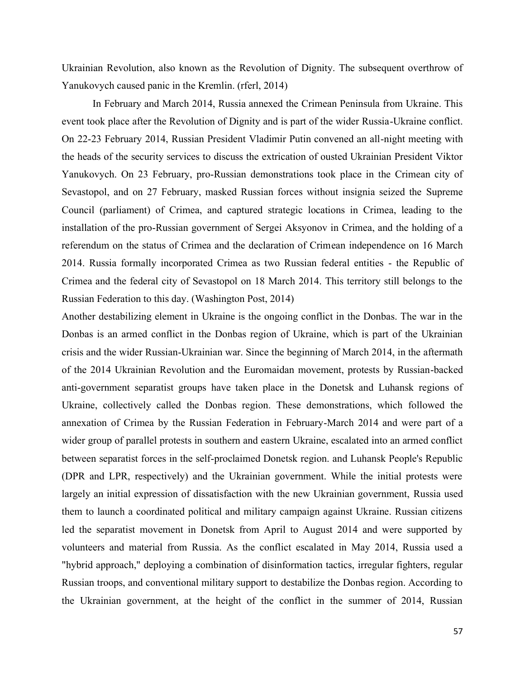Ukrainian Revolution, also known as the Revolution of Dignity. The subsequent overthrow of Yanukovych caused panic in the Kremlin. (rferl, 2014)

In February and March 2014, Russia annexed the Crimean Peninsula from Ukraine. This event took place after the Revolution of Dignity and is part of the wider Russia-Ukraine conflict. On 22-23 February 2014, Russian President Vladimir Putin convened an all-night meeting with the heads of the security services to discuss the extrication of ousted Ukrainian President Viktor Yanukovych. On 23 February, pro-Russian demonstrations took place in the Crimean city of Sevastopol, and on 27 February, masked Russian forces without insignia seized the Supreme Council (parliament) of Crimea, and captured strategic locations in Crimea, leading to the installation of the pro-Russian government of Sergei Aksyonov in Crimea, and the holding of a referendum on the status of Crimea and the declaration of Crimean independence on 16 March 2014. Russia formally incorporated Crimea as two Russian federal entities - the Republic of Crimea and the federal city of Sevastopol on 18 March 2014. This territory still belongs to the Russian Federation to this day. (Washington Post, 2014)

Another destabilizing element in Ukraine is the ongoing conflict in the Donbas. The war in the Donbas is an armed conflict in the Donbas region of Ukraine, which is part of the Ukrainian crisis and the wider Russian-Ukrainian war. Since the beginning of March 2014, in the aftermath of the 2014 Ukrainian Revolution and the Euromaidan movement, protests by Russian-backed anti-government separatist groups have taken place in the Donetsk and Luhansk regions of Ukraine, collectively called the Donbas region. These demonstrations, which followed the annexation of Crimea by the Russian Federation in February-March 2014 and were part of a wider group of parallel protests in southern and eastern Ukraine, escalated into an armed conflict between separatist forces in the self-proclaimed Donetsk region. and Luhansk People's Republic (DPR and LPR, respectively) and the Ukrainian government. While the initial protests were largely an initial expression of dissatisfaction with the new Ukrainian government, Russia used them to launch a coordinated political and military campaign against Ukraine. Russian citizens led the separatist movement in Donetsk from April to August 2014 and were supported by volunteers and material from Russia. As the conflict escalated in May 2014, Russia used a "hybrid approach," deploying a combination of disinformation tactics, irregular fighters, regular Russian troops, and conventional military support to destabilize the Donbas region. According to the Ukrainian government, at the height of the conflict in the summer of 2014, Russian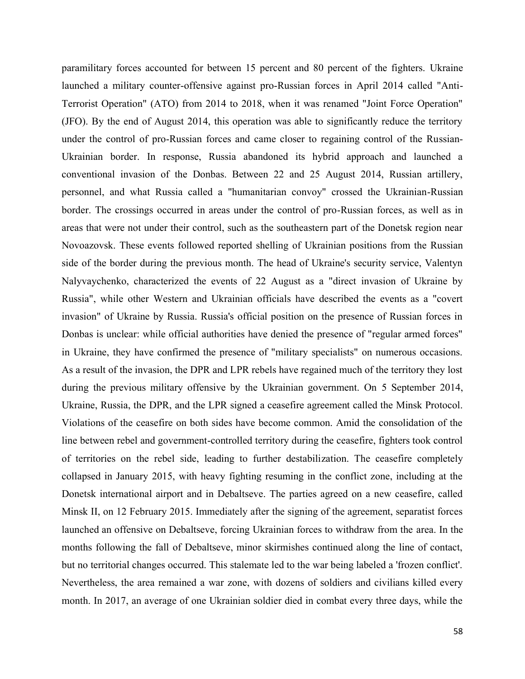paramilitary forces accounted for between 15 percent and 80 percent of the fighters. Ukraine launched a military counter-offensive against pro-Russian forces in April 2014 called "Anti-Terrorist Operation" (ATO) from 2014 to 2018, when it was renamed "Joint Force Operation" (JFO). By the end of August 2014, this operation was able to significantly reduce the territory under the control of pro-Russian forces and came closer to regaining control of the Russian-Ukrainian border. In response, Russia abandoned its hybrid approach and launched a conventional invasion of the Donbas. Between 22 and 25 August 2014, Russian artillery, personnel, and what Russia called a "humanitarian convoy" crossed the Ukrainian-Russian border. The crossings occurred in areas under the control of pro-Russian forces, as well as in areas that were not under their control, such as the southeastern part of the Donetsk region near Novoazovsk. These events followed reported shelling of Ukrainian positions from the Russian side of the border during the previous month. The head of Ukraine's security service, Valentyn Nalyvaychenko, characterized the events of 22 August as a "direct invasion of Ukraine by Russia", while other Western and Ukrainian officials have described the events as a "covert invasion" of Ukraine by Russia. Russia's official position on the presence of Russian forces in Donbas is unclear: while official authorities have denied the presence of "regular armed forces" in Ukraine, they have confirmed the presence of "military specialists" on numerous occasions. As a result of the invasion, the DPR and LPR rebels have regained much of the territory they lost during the previous military offensive by the Ukrainian government. On 5 September 2014, Ukraine, Russia, the DPR, and the LPR signed a ceasefire agreement called the Minsk Protocol. Violations of the ceasefire on both sides have become common. Amid the consolidation of the line between rebel and government-controlled territory during the ceasefire, fighters took control of territories on the rebel side, leading to further destabilization. The ceasefire completely collapsed in January 2015, with heavy fighting resuming in the conflict zone, including at the Donetsk international airport and in Debaltseve. The parties agreed on a new ceasefire, called Minsk II, on 12 February 2015. Immediately after the signing of the agreement, separatist forces launched an offensive on Debaltseve, forcing Ukrainian forces to withdraw from the area. In the months following the fall of Debaltseve, minor skirmishes continued along the line of contact, but no territorial changes occurred. This stalemate led to the war being labeled a 'frozen conflict'. Nevertheless, the area remained a war zone, with dozens of soldiers and civilians killed every month. In 2017, an average of one Ukrainian soldier died in combat every three days, while the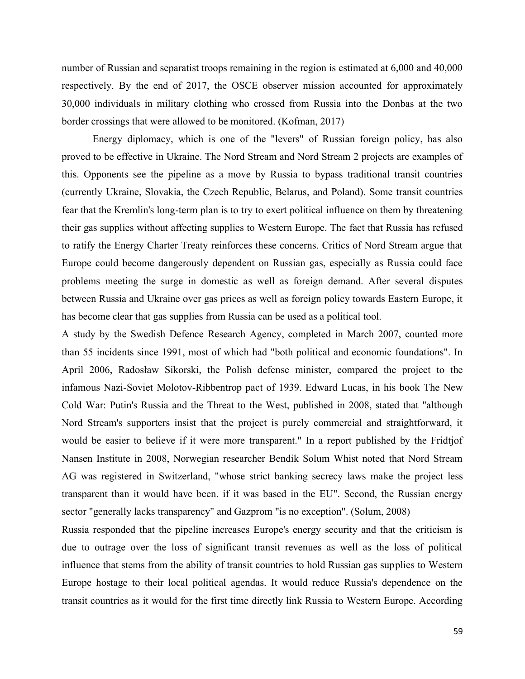number of Russian and separatist troops remaining in the region is estimated at 6,000 and 40,000 respectively. By the end of 2017, the OSCE observer mission accounted for approximately 30,000 individuals in military clothing who crossed from Russia into the Donbas at the two border crossings that were allowed to be monitored. (Kofman, 2017)

Energy diplomacy, which is one of the "levers" of Russian foreign policy, has also proved to be effective in Ukraine. The Nord Stream and Nord Stream 2 projects are examples of this. Opponents see the pipeline as a move by Russia to bypass traditional transit countries (currently Ukraine, Slovakia, the Czech Republic, Belarus, and Poland). Some transit countries fear that the Kremlin's long-term plan is to try to exert political influence on them by threatening their gas supplies without affecting supplies to Western Europe. The fact that Russia has refused to ratify the Energy Charter Treaty reinforces these concerns. Critics of Nord Stream argue that Europe could become dangerously dependent on Russian gas, especially as Russia could face problems meeting the surge in domestic as well as foreign demand. After several disputes between Russia and Ukraine over gas prices as well as foreign policy towards Eastern Europe, it has become clear that gas supplies from Russia can be used as a political tool.

A study by the Swedish Defence Research Agency, completed in March 2007, counted more than 55 incidents since 1991, most of which had "both political and economic foundations". In April 2006, Radosław Sikorski, the Polish defense minister, compared the project to the infamous Nazi-Soviet Molotov-Ribbentrop pact of 1939. Edward Lucas, in his book The New Cold War: Putin's Russia and the Threat to the West, published in 2008, stated that "although Nord Stream's supporters insist that the project is purely commercial and straightforward, it would be easier to believe if it were more transparent." In a report published by the Fridtjof Nansen Institute in 2008, Norwegian researcher Bendik Solum Whist noted that Nord Stream AG was registered in Switzerland, "whose strict banking secrecy laws make the project less transparent than it would have been. if it was based in the EU". Second, the Russian energy sector "generally lacks transparency" and Gazprom "is no exception". (Solum, 2008)

Russia responded that the pipeline increases Europe's energy security and that the criticism is due to outrage over the loss of significant transit revenues as well as the loss of political influence that stems from the ability of transit countries to hold Russian gas supplies to Western Europe hostage to their local political agendas. It would reduce Russia's dependence on the transit countries as it would for the first time directly link Russia to Western Europe. According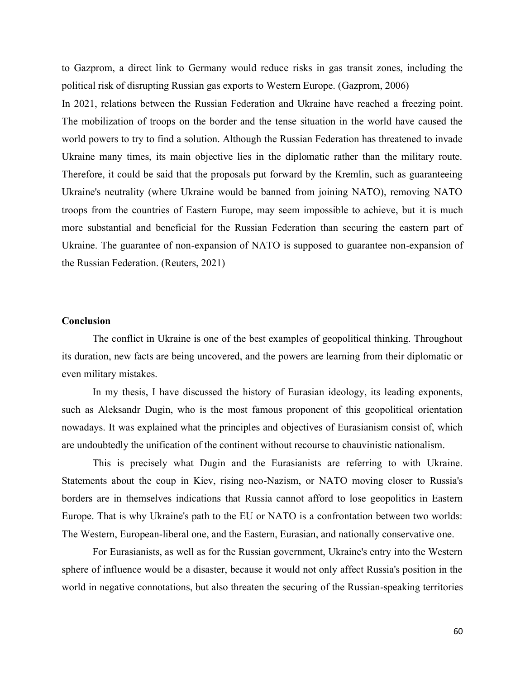to Gazprom, a direct link to Germany would reduce risks in gas transit zones, including the political risk of disrupting Russian gas exports to Western Europe. (Gazprom, 2006)

In 2021, relations between the Russian Federation and Ukraine have reached a freezing point. The mobilization of troops on the border and the tense situation in the world have caused the world powers to try to find a solution. Although the Russian Federation has threatened to invade Ukraine many times, its main objective lies in the diplomatic rather than the military route. Therefore, it could be said that the proposals put forward by the Kremlin, such as guaranteeing Ukraine's neutrality (where Ukraine would be banned from joining NATO), removing NATO troops from the countries of Eastern Europe, may seem impossible to achieve, but it is much more substantial and beneficial for the Russian Federation than securing the eastern part of Ukraine. The guarantee of non-expansion of NATO is supposed to guarantee non-expansion of the Russian Federation. (Reuters, 2021)

### **Conclusion**

The conflict in Ukraine is one of the best examples of geopolitical thinking. Throughout its duration, new facts are being uncovered, and the powers are learning from their diplomatic or even military mistakes.

In my thesis, I have discussed the history of Eurasian ideology, its leading exponents, such as Aleksandr Dugin, who is the most famous proponent of this geopolitical orientation nowadays. It was explained what the principles and objectives of Eurasianism consist of, which are undoubtedly the unification of the continent without recourse to chauvinistic nationalism.

This is precisely what Dugin and the Eurasianists are referring to with Ukraine. Statements about the coup in Kiev, rising neo-Nazism, or NATO moving closer to Russia's borders are in themselves indications that Russia cannot afford to lose geopolitics in Eastern Europe. That is why Ukraine's path to the EU or NATO is a confrontation between two worlds: The Western, European-liberal one, and the Eastern, Eurasian, and nationally conservative one.

For Eurasianists, as well as for the Russian government, Ukraine's entry into the Western sphere of influence would be a disaster, because it would not only affect Russia's position in the world in negative connotations, but also threaten the securing of the Russian-speaking territories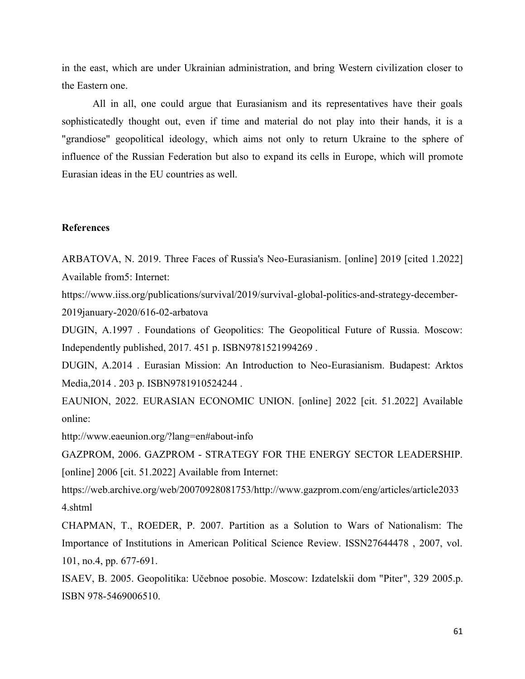in the east, which are under Ukrainian administration, and bring Western civilization closer to the Eastern one.

All in all, one could argue that Eurasianism and its representatives have their goals sophisticatedly thought out, even if time and material do not play into their hands, it is a "grandiose" geopolitical ideology, which aims not only to return Ukraine to the sphere of influence of the Russian Federation but also to expand its cells in Europe, which will promote Eurasian ideas in the EU countries as well.

## **References**

ARBATOVA, N. 2019. Three Faces of Russia's Neo-Eurasianism. [online] 2019 [cited 1.2022] Available from5: Internet:

https://www.iiss.org/publications/survival/2019/survival-global-politics-and-strategy-december-2019january-2020/616-02-arbatova

DUGIN, A.1997 . Foundations of Geopolitics: The Geopolitical Future of Russia. Moscow: Independently published, 2017. 451 p. ISBN9781521994269 .

DUGIN, A.2014 . Eurasian Mission: An Introduction to Neo-Eurasianism. Budapest: Arktos Media,2014 . 203 p. ISBN9781910524244 .

EAUNION, 2022. EURASIAN ECONOMIC UNION. [online] 2022 [cit. 51.2022] Available online:

http://www.eaeunion.org/?lang=en#about-info

GAZPROM, 2006. GAZPROM - STRATEGY FOR THE ENERGY SECTOR LEADERSHIP. [online] 2006 [cit. 51.2022] Available from Internet:

https://web.archive.org/web/20070928081753/http://www.gazprom.com/eng/articles/article2033 4.shtml

CHAPMAN, T., ROEDER, P. 2007. Partition as a Solution to Wars of Nationalism: The Importance of Institutions in American Political Science Review. ISSN27644478 , 2007, vol. 101, no.4, pp. 677-691.

ISAEV, B. 2005. Geopolitika: Učebnoe posobie. Moscow: Izdatelskii dom "Piter", 329 2005.p. ISBN 978-5469006510.